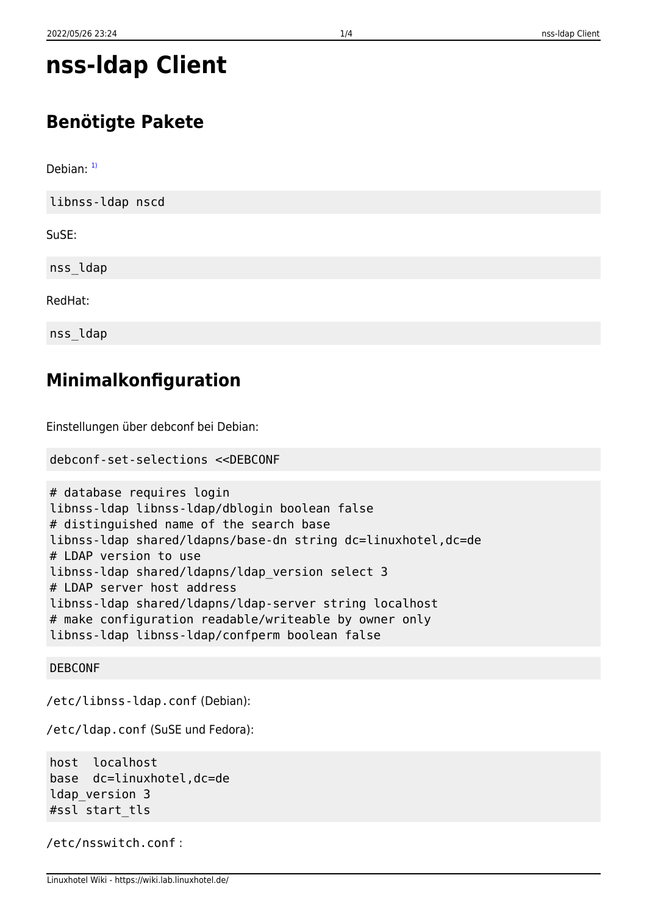# **nss-ldap Client**

# **Benötigte Pakete**

Debian:  $1$ 

libnss-ldap nscd

SuSE:

nss\_ldap

RedHat:

nss\_ldap

### **Minimalkonfiguration**

Einstellungen über debconf bei Debian:

```
debconf-set-selections <<DEBCONF
```

```
# database requires login
libnss-ldap libnss-ldap/dblogin boolean false
# distinguished name of the search base
libnss-ldap shared/ldapns/base-dn string dc=linuxhotel,dc=de
# LDAP version to use
libnss-ldap shared/ldapns/ldap_version select 3
# LDAP server host address
libnss-ldap shared/ldapns/ldap-server string localhost
# make configuration readable/writeable by owner only
libnss-ldap libnss-ldap/confperm boolean false
```
#### DEBCONF

/etc/libnss-ldap.conf (Debian):

/etc/ldap.conf (SuSE und Fedora):

host localhost base dc=linuxhotel,dc=de ldap\_version 3 #ssl start\_tls

```
/etc/nsswitch.conf :
```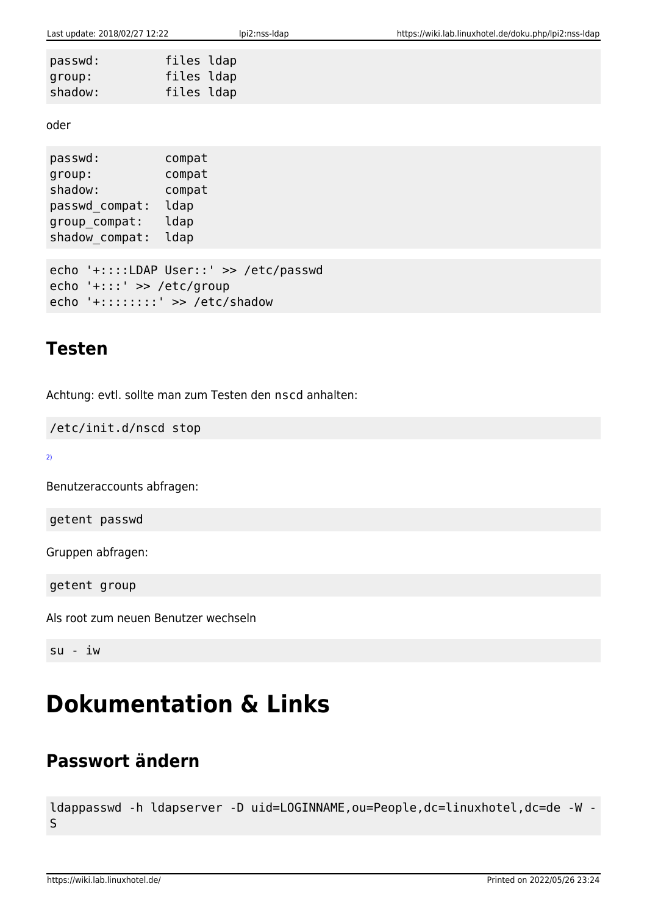| passwd: | files ldap |  |
|---------|------------|--|
| group:  | files ldap |  |
| shadow: | files ldap |  |

oder

passwd: compat group: compat shadow: compat passwd\_compat: ldap group compat: ldap shadow\_compat: ldap

echo '+::::LDAP User::' >> /etc/passwd echo '+:::' >> /etc/group echo '+::::::::' >> /etc/shadow

#### **Testen**

Achtung: evtl. sollte man zum Testen den nscd anhalten:

/etc/init.d/nscd stop

[2\)](#page--1-0)

Benutzeraccounts abfragen:

getent passwd

Gruppen abfragen:

getent group

Als root zum neuen Benutzer wechseln

su - iw

# **Dokumentation & Links**

# **Passwort ändern**

ldappasswd -h ldapserver -D uid=LOGINNAME,ou=People,dc=linuxhotel,dc=de -W - S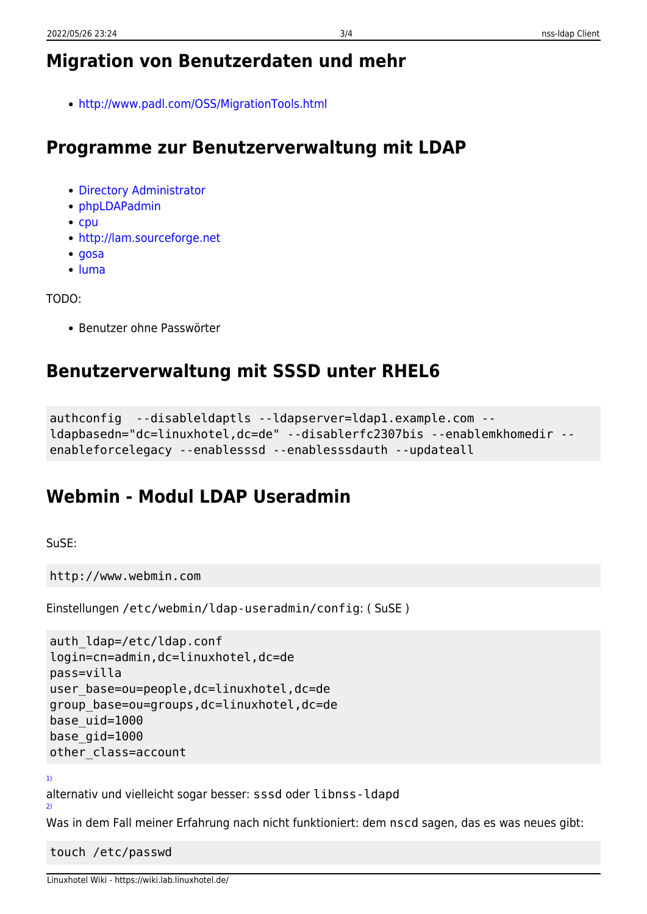# **Migration von Benutzerdaten und mehr**

<http://www.padl.com/OSS/MigrationTools.html>

### **Programme zur Benutzerverwaltung mit LDAP**

- [Directory Administrator](http://diradmin.open-it.org)
- [phpLDAPadmin](http://phpldapadmin.sourceforge.net)
- $\bullet$  [cpu](http://cpu.sourceforge.net)
- <http://lam.sourceforge.net>
- [gosa](https://gosa.gonicus.de)
- [luma](http://luma.sourceforge.net/)

TODO:

• Benutzer ohne Passwörter

### **Benutzerverwaltung mit SSSD unter RHEL6**

```
authconfig --disableldaptls --ldapserver=ldap1.example.com --
ldapbasedn="dc=linuxhotel,dc=de" --disablerfc2307bis --enablemkhomedir --
enableforcelegacy --enablesssd --enablesssdauth --updateall
```
## **Webmin - Modul LDAP Useradmin**

SuSE:

http://www.webmin.com

Einstellungen /etc/webmin/ldap-useradmin/config: ( SuSE )

```
auth ldap=/etc/ldap.conf
login=cn=admin,dc=linuxhotel,dc=de
pass=villa
user base=ou=people,dc=linuxhotel,dc=de
group_base=ou=groups,dc=linuxhotel,dc=de
base_uid=1000
base_gid=1000
other_class=account
```
[1\)](#page--1-0)

alternativ und vielleicht sogar besser: sssd oder libnss-ldapd [2\)](#page--1-0)

Was in dem Fall meiner Erfahrung nach nicht funktioniert: dem nscd sagen, das es was neues gibt:

touch /etc/passwd